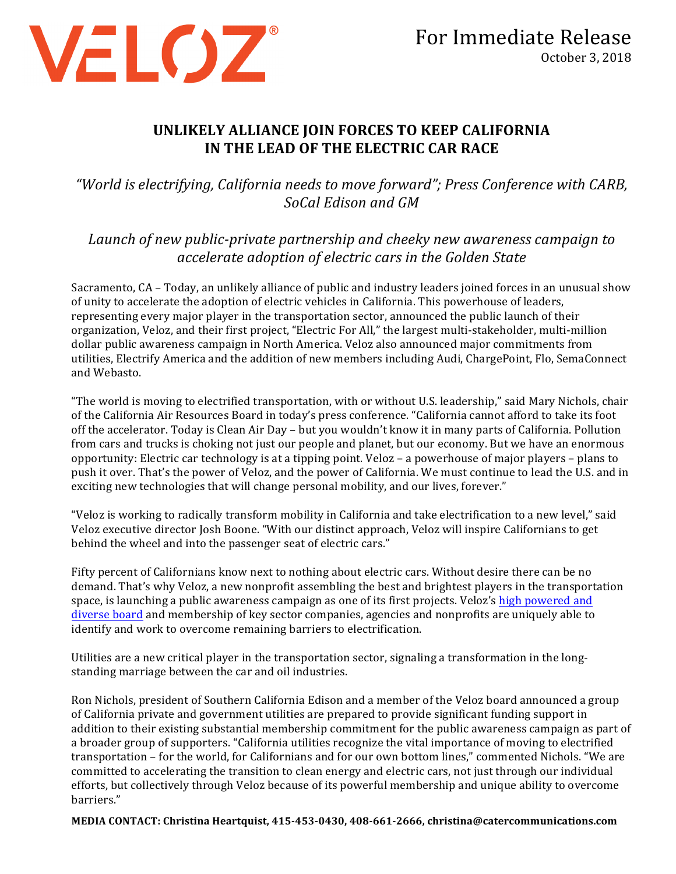

## UNLIKELY ALLIANCE JOIN FORCES TO KEEP CALIFORNIA **IN THE LEAD OF THE ELECTRIC CAR RACE**

"World is electrifying, California needs to move forward"; Press Conference with CARB, *SoCal Edison and GM*

*Launch of new public-private partnership and cheeky new awareness campaign to accelerate adoption of electric cars in the Golden State*

Sacramento, CA – Today, an unlikely alliance of public and industry leaders joined forces in an unusual show of unity to accelerate the adoption of electric vehicles in California. This powerhouse of leaders, representing every major player in the transportation sector, announced the public launch of their organization, Veloz, and their first project, "Electric For All," the largest multi-stakeholder, multi-million dollar public awareness campaign in North America. Veloz also announced major commitments from utilities, Electrify America and the addition of new members including Audi, ChargePoint, Flo, SemaConnect and Webasto.

"The world is moving to electrified transportation, with or without U.S. leadership," said Mary Nichols, chair of the California Air Resources Board in today's press conference. "California cannot afford to take its foot off the accelerator. Today is Clean Air Day – but you wouldn't know it in many parts of California. Pollution from cars and trucks is choking not just our people and planet, but our economy. But we have an enormous opportunity: Electric car technology is at a tipping point. Veloz – a powerhouse of major players – plans to push it over. That's the power of Veloz, and the power of California. We must continue to lead the U.S. and in exciting new technologies that will change personal mobility, and our lives, forever."

"Veloz is working to radically transform mobility in California and take electrification to a new level," said Veloz executive director Josh Boone. "With our distinct approach, Veloz will inspire Californians to get behind the wheel and into the passenger seat of electric cars."

Fifty percent of Californians know next to nothing about electric cars. Without desire there can be no demand. That's why Veloz, a new nonprofit assembling the best and brightest players in the transportation space, is launching a public awareness campaign as one of its first projects. Veloz's high powered and diverse board and membership of key sector companies, agencies and nonprofits are uniquely able to identify and work to overcome remaining barriers to electrification.

Utilities are a new critical player in the transportation sector, signaling a transformation in the longstanding marriage between the car and oil industries.

Ron Nichols, president of Southern California Edison and a member of the Veloz board announced a group of California private and government utilities are prepared to provide significant funding support in addition to their existing substantial membership commitment for the public awareness campaign as part of a broader group of supporters. "California utilities recognize the vital importance of moving to electrified transportation – for the world, for Californians and for our own bottom lines," commented Nichols. "We are committed to accelerating the transition to clean energy and electric cars, not just through our individual efforts, but collectively through Veloz because of its powerful membership and unique ability to overcome barriers."

**MEDIA CONTACT: Christina Heartquist, 415-453-0430, 408-661-2666, christina@catercommunications.com**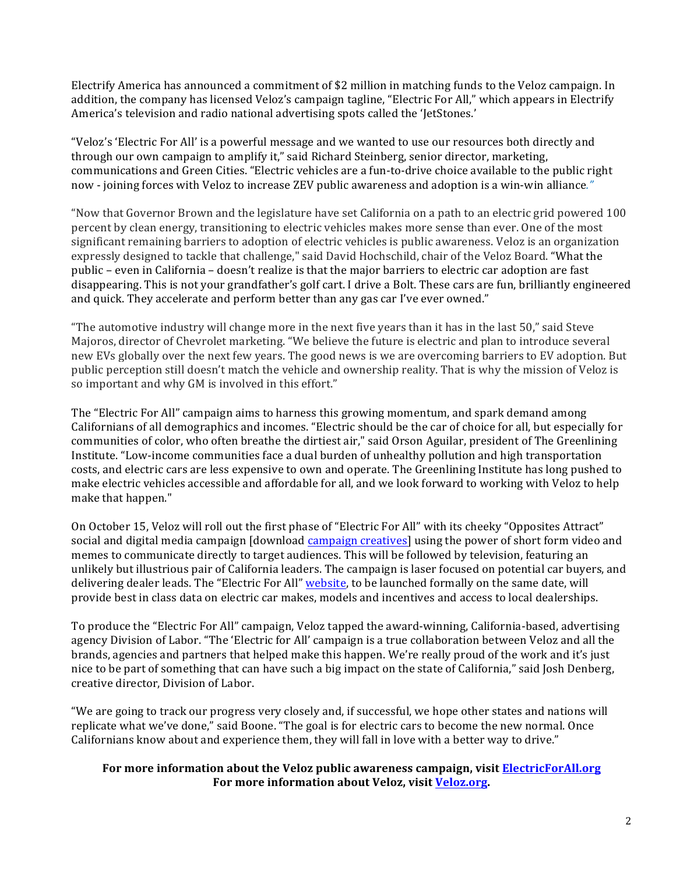Electrify America has announced a commitment of \$2 million in matching funds to the Veloz campaign. In addition, the company has licensed Veloz's campaign tagline, "Electric For All," which appears in Electrify America's television and radio national advertising spots called the 'JetStones.'

"Veloz's 'Electric For All' is a powerful message and we wanted to use our resources both directly and through our own campaign to amplify it," said Richard Steinberg, senior director, marketing, communications and Green Cities. "Electric vehicles are a fun-to-drive choice available to the public right now - joining forces with Veloz to increase ZEV public awareness and adoption is a win-win alliance."

"Now that Governor Brown and the legislature have set California on a path to an electric grid powered 100 percent by clean energy, transitioning to electric vehicles makes more sense than ever. One of the most significant remaining barriers to adoption of electric vehicles is public awareness. Veloz is an organization expressly designed to tackle that challenge," said David Hochschild, chair of the Veloz Board. "What the public – even in California – doesn't realize is that the major barriers to electric car adoption are fast disappearing. This is not your grandfather's golf cart. I drive a Bolt. These cars are fun, brilliantly engineered and quick. They accelerate and perform better than any gas car I've ever owned."

"The automotive industry will change more in the next five years than it has in the last 50," said Steve Majoros, director of Chevrolet marketing. "We believe the future is electric and plan to introduce several new EVs globally over the next few years. The good news is we are overcoming barriers to EV adoption. But public perception still doesn't match the vehicle and ownership reality. That is why the mission of Veloz is so important and why GM is involved in this effort."

The "Electric For All" campaign aims to harness this growing momentum, and spark demand among Californians of all demographics and incomes. "Electric should be the car of choice for all, but especially for communities of color, who often breathe the dirtiest air," said Orson Aguilar, president of The Greenlining Institute. "Low-income communities face a dual burden of unhealthy pollution and high transportation costs, and electric cars are less expensive to own and operate. The Greenlining Institute has long pushed to make electric vehicles accessible and affordable for all, and we look forward to working with Veloz to help make that happen."

On October 15, Veloz will roll out the first phase of "Electric For All" with its cheeky "Opposites Attract" social and digital media campaign [download campaign creatives] using the power of short form video and memes to communicate directly to target audiences. This will be followed by television, featuring an unlikely but illustrious pair of California leaders. The campaign is laser focused on potential car buyers, and delivering dealer leads. The "Electric For All" [website](http://www.electricforall.org), to be launched formally on the same date, will provide best in class data on electric car makes, models and incentives and access to local dealerships.

To produce the "Electric For All" campaign, Veloz tapped the award-winning, California-based, advertising agency Division of Labor. "The 'Electric for All' campaign is a true collaboration between Veloz and all the brands, agencies and partners that helped make this happen. We're really proud of the work and it's just nice to be part of something that can have such a big impact on the state of California," said Josh Denberg, creative director, Division of Labor.

"We are going to track our progress very closely and, if successful, we hope other states and nations will replicate what we've done," said Boone. "The goal is for electric cars to become the new normal. Once Californians know about and experience them, they will fall in love with a better way to drive."

## For more information about the Veloz public awareness campaign, visit **ElectricForAll.org** For more information about Veloz, visit Veloz.org.